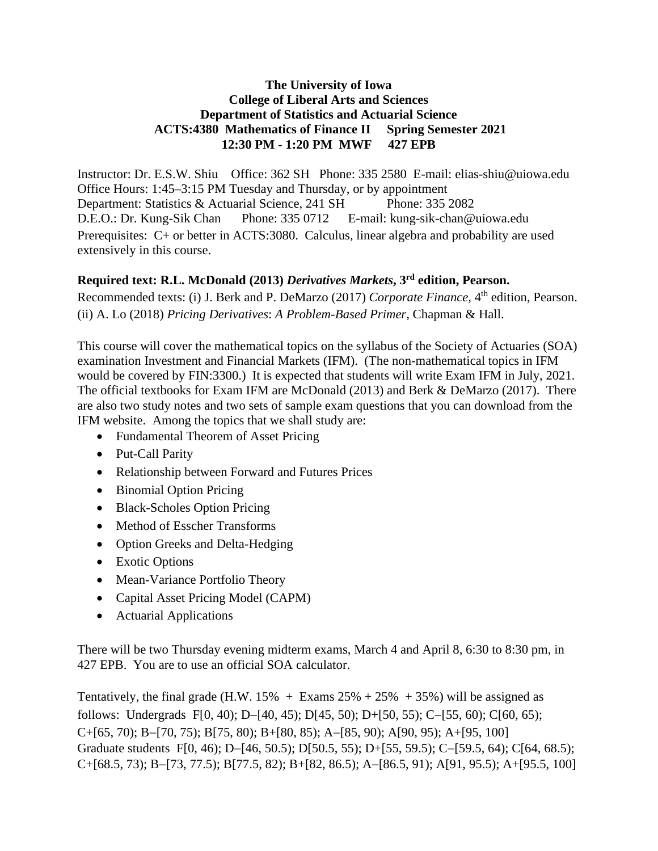## **The University of Iowa College of Liberal Arts and Sciences Department of Statistics and Actuarial Science ACTS:4380 Mathematics of Finance II Spring Semester 2021 12:30 PM - 1:20 PM MWF 427 EPB**

Instructor: Dr. E.S.W. Shiu Office: 362 SH Phone: 335 2580 E-mail: elias-shiu@uiowa.edu Office Hours: 1:45–3:15 PM Tuesday and Thursday, or by appointment Department: Statistics & Actuarial Science, 241 SH Phone: 335 2082 D.E.O.: Dr. Kung-Sik Chan Phone: 335 0712 E-mail: kung-sik-chan@uiowa.edu Prerequisites: C+ or better in ACTS:3080. Calculus, linear algebra and probability are used extensively in this course.

## **Required text: R.L. McDonald (2013)** *Derivatives Markets***, 3rd edition, Pearson.**

Recommended texts: (i) J. Berk and P. DeMarzo (2017) *Corporate Finance*, 4<sup>th</sup> edition, Pearson. (ii) A. Lo (2018) *Pricing Derivatives*: *A Problem-Based Primer*, Chapman & Hall.

This course will cover the mathematical topics on the syllabus of the Society of Actuaries (SOA) examination Investment and Financial Markets (IFM). (The non-mathematical topics in IFM would be covered by FIN:3300.) It is expected that students will write Exam IFM in July, 2021. The official textbooks for Exam IFM are McDonald (2013) and Berk & DeMarzo (2017). There are also two study notes and two sets of sample exam questions that you can download from the IFM website. Among the topics that we shall study are:

- Fundamental Theorem of Asset Pricing
- Put-Call Parity
- Relationship between Forward and Futures Prices
- Binomial Option Pricing
- Black-Scholes Option Pricing
- Method of Esscher Transforms
- Option Greeks and Delta-Hedging
- Exotic Options
- Mean-Variance Portfolio Theory
- Capital Asset Pricing Model (CAPM)
- Actuarial Applications

There will be two Thursday evening midterm exams, March 4 and April 8, 6:30 to 8:30 pm, in 427 EPB. You are to use an official SOA calculator.

Tentatively, the final grade (H.W. 15% + Exams  $25% + 25% + 35%$ ) will be assigned as follows: Undergrads F[0, 40); D−[40, 45); D[45, 50); D+[50, 55); C−[55, 60); C[60, 65); C+[65, 70); B−[70, 75); B[75, 80); B+[80, 85); A−[85, 90); A[90, 95); A+[95, 100] Graduate students F[0, 46); D−[46, 50.5); D[50.5, 55); D+[55, 59.5); C−[59.5, 64); C[64, 68.5); C+[68.5, 73); B−[73, 77.5); B[77.5, 82); B+[82, 86.5); A−[86.5, 91); A[91, 95.5); A+[95.5, 100]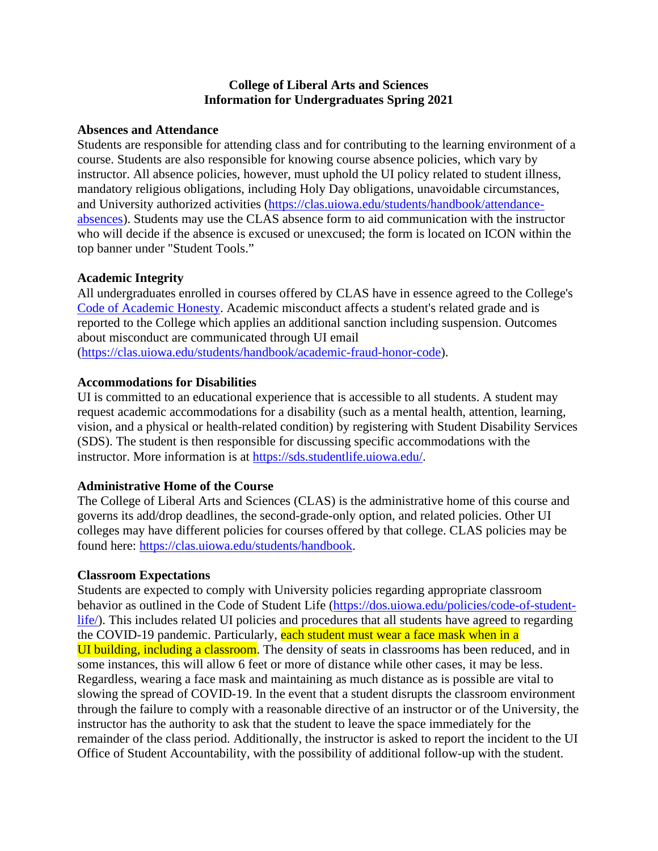#### **College of Liberal Arts and Sciences Information for Undergraduates Spring 2021**

#### **Absences and Attendance**

Students are responsible for attending class and for contributing to the learning environment of a course. Students are also responsible for knowing course absence policies, which vary by instructor. All absence policies, however, must uphold the UI policy related to student illness, mandatory religious obligations, including Holy Day obligations, unavoidable circumstances, and University authorized activities [\(https://clas.uiowa.edu/students/handbook/attendance](https://clas.uiowa.edu/students/handbook/attendance-absences)[absences\)](https://clas.uiowa.edu/students/handbook/attendance-absences). Students may use the CLAS absence form to aid communication with the instructor who will decide if the absence is excused or unexcused; the form is located on ICON within the top banner under "Student Tools."

#### **Academic Integrity**

All undergraduates enrolled in courses offered by CLAS have in essence agreed to the College's [Code of Academic Honesty.](https://clas.uiowa.edu/students/handbook/academic-fraud-honor-code) Academic misconduct affects a student's related grade and is reported to the College which applies an additional sanction including suspension. Outcomes about misconduct are communicated through UI email

[\(https://clas.uiowa.edu/students/handbook/academic-fraud-honor-code\)](https://clas.uiowa.edu/students/handbook/academic-fraud-honor-code).

### **Accommodations for Disabilities**

UI is committed to an educational experience that is accessible to all students. A student may request academic accommodations for a disability (such as a mental health, attention, learning, vision, and a physical or health-related condition) by registering with Student Disability Services (SDS). The student is then responsible for discussing specific accommodations with the instructor. More information is at [https://sds.studentlife.uiowa.edu/.](https://sds.studentlife.uiowa.edu/)

## **Administrative Home of the Course**

The College of Liberal Arts and Sciences (CLAS) is the administrative home of this course and governs its add/drop deadlines, the second-grade-only option, and related policies. Other UI colleges may have different policies for courses offered by that college. CLAS policies may be found here: [https://clas.uiowa.edu/students/handbook.](https://clas.uiowa.edu/students/handbook)

#### **Classroom Expectations**

Students are expected to comply with University policies regarding appropriate classroom behavior as outlined in the Code of Student Life [\(https://dos.uiowa.edu/policies/code-of-student](https://dos.uiowa.edu/policies/code-of-student-life/)[life/\)](https://dos.uiowa.edu/policies/code-of-student-life/). This includes related UI policies and procedures that all students have agreed to regarding the COVID-19 pandemic. Particularly, each student must wear a face mask when in a UI building, including a classroom. The density of seats in classrooms has been reduced, and in some instances, this will allow 6 feet or more of distance while other cases, it may be less. Regardless, wearing a face mask and maintaining as much distance as is possible are vital to slowing the spread of COVID-19. In the event that a student disrupts the classroom environment through the failure to comply with a reasonable directive of an instructor or of the University, the instructor has the authority to ask that the student to leave the space immediately for the remainder of the class period. Additionally, the instructor is asked to report the incident to the UI Office of Student Accountability, with the possibility of additional follow-up with the student.